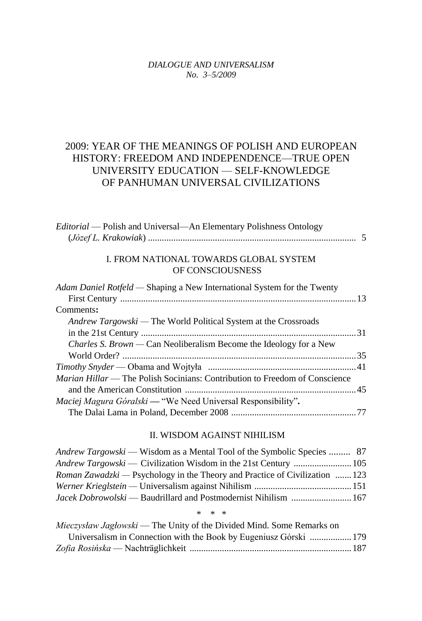### *DIALOGUE AND UNIVERSALISM No. 3–5/2009*

# 2009: YEAR OF THE MEANINGS OF POLISH AND EUROPEAN HISTORY: FREEDOM AND INDEPENDENCE—TRUE OPEN UNIVERSITY EDUCATION — SELF-KNOWLEDGE OF PANHUMAN UNIVERSAL CIVILIZATIONS

| <i>Editorial</i> — Polish and Universal—An Elementary Polishness Ontology |  |
|---------------------------------------------------------------------------|--|
|                                                                           |  |

## I. FROM NATIONAL TOWARDS GLOBAL SYSTEM OF CONSCIOUSNESS

| Adam Daniel Rotfeld — Shaping a New International System for the Twenty     |  |
|-----------------------------------------------------------------------------|--|
|                                                                             |  |
| Comments:                                                                   |  |
| <i>Andrew Targowski</i> — The World Political System at the Crossroads      |  |
|                                                                             |  |
| <i>Charles S. Brown</i> — Can Neoliberalism Become the Ideology for a New   |  |
|                                                                             |  |
|                                                                             |  |
| Marian Hillar — The Polish Socinians: Contribution to Freedom of Conscience |  |
|                                                                             |  |
| <i>Maciej Magura Góralski</i> — "We Need Universal Responsibility".         |  |
|                                                                             |  |

### II. WISDOM AGAINST NIHILISM

| <i>Andrew Targowski</i> — Wisdom as a Mental Tool of the Symbolic Species  87     |  |
|-----------------------------------------------------------------------------------|--|
| Andrew Targowski — Civilization Wisdom in the 21st Century  105                   |  |
| <i>Roman Zawadzki</i> — Psychology in the Theory and Practice of Civilization 123 |  |
|                                                                                   |  |
|                                                                                   |  |

#### *\* \* \**

| Mieczysław Jagłowski — The Unity of the Divided Mind. Some Remarks on |  |
|-----------------------------------------------------------------------|--|
| Universalism in Connection with the Book by Eugeniusz Górski  179     |  |
|                                                                       |  |